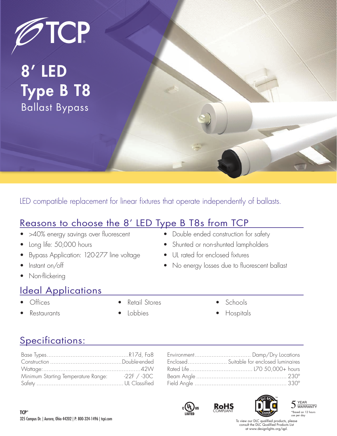

## 8' LED Type B T8 Ballast Bypass

LED compatible replacement for linear fixtures that operate independently of ballasts.

### Reasons to choose the 8' LED Type B T8s from TCP

- >40% energy savings over fluorescent
- Long life: 50,000 hours
- Bypass Application: 120-277 line voltage
- Instant on/off
- Non-flickering

### Ideal Applications

- Offices
- **Restaurants**
- Retail Stores
- Lobbies

• Schools

• No energy losses due to fluorescent ballast

• Double ended construction for safety • Shunted or non-shunted lampholders

• UL rated for enclosed fixtures

• Hospitals

### Specifications:

| Minimum Starting Temperature Range: 22F / -30C |  |
|------------------------------------------------|--|
|                                                |  |

| Enclosed Suitable for enclosed luminaires |
|-------------------------------------------|
|                                           |
|                                           |
|                                           |









To view our DLC qualified products, please consult the DLC Qualified Products List at www.designlights.org/qpl.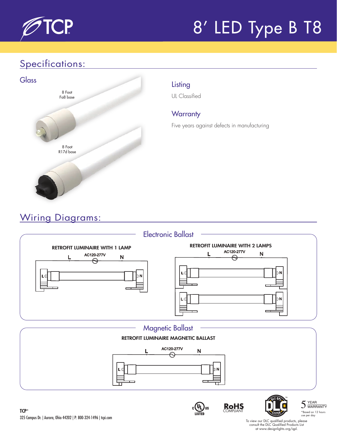

# 8' LED Type B T8

### Specifications:



UL Classified

### **Warranty**

Five years against defects in manufacturing

## Wiring Diagrams:



To view our DLC qualified products, please consult the DLC Qualified Products List at www.designlights.org/qpl.

**RoHS** COMPLIANT

 $\frac{1}{\sqrt{2}}$ us

\*Based on 12 hours use per day

 $5 \frac{YEAR}{WARRANTY}$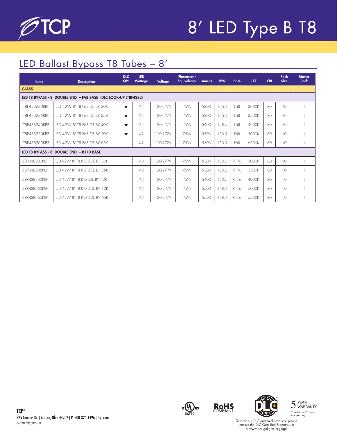

## 8' LED Type B T8

## LED Ballast Bypass T8 Tubes – 8'

| Item#                                                           | <b>Description</b>            | <b>DLC</b><br><b>QPL</b> | <b>LED</b><br><b>Wattage</b> | Voltage  | <b>Fluorescent</b><br><b>Equivalency</b> | <b>Lumens</b> | <b>LPW</b> | <b>Base</b>      | <b>CCT</b> | <b>CRI</b>      | Pack<br><b>Size</b> | <b>Master</b><br>Pack |
|-----------------------------------------------------------------|-------------------------------|--------------------------|------------------------------|----------|------------------------------------------|---------------|------------|------------------|------------|-----------------|---------------------|-----------------------|
| <b>GLASS</b>                                                    |                               |                          |                              |          |                                          |               |            |                  |            |                 |                     |                       |
| LED T8 BYPASS - 8' DOUBLE END - FA8 BASE (DLC LOOK-UP LT8F42B2) |                               |                          |                              |          |                                          |               |            |                  |            |                 |                     |                       |
| LT8F43B230KBP                                                   | LED 42W 8' T8 Fa8 DE BY 30K   | $\star$                  | 42                           | 120-277V | 75W                                      | 5300          | 126.1      | F <sub>0</sub> 8 | 3000K      | 80              | 10                  |                       |
| LT8F43B235KBP                                                   | LED 42W 8' T8 Fa8 DE BY 35K   | $\star$                  | 42                           | 120-277V | 7.5W                                     | 5300          | 126.1      | F <sub>0</sub> 8 | 3500K      | 80              | 10                  |                       |
| IT8F43B240KBP                                                   | LED 42W 8' T8 Fa8 DE BY 40K   | $\star$                  | 42                           | 120-277V | 7.5W                                     | 5400          | 128.5      | F <sub>0</sub> 8 | 4000K      | 80              | 10                  |                       |
| IT8F43B250KBP                                                   | LED 42W 8' T8 Fa8 DE BY 50K   | $\star$                  | 42                           | 120-277V | 75W                                      | 5500          | 130.9      | Fo <sub>8</sub>  | 5000K      | $80^{\circ}$    | 10                  |                       |
| LT8F43B265KBP                                                   | LED 42W 8' T8 Fa8 DE BY 65K   |                          | 42                           | 120-277V | 75W                                      | 5500          | 130.9      | Fa8              | 6500K      | 80              | 10                  |                       |
| LED T8 BYPASS - 8' DOUBLE END - R17D BASE                       |                               |                          |                              |          |                                          |               |            |                  |            |                 |                     |                       |
| IT8R43B230KBP                                                   | LED 42W 8' T8 R17d DE BY 30K  |                          | 42                           | 120-277V | 75W                                      | 5300          | 133.3      | R17d             | 3000K      | 80 <sup>°</sup> | 10                  |                       |
| IT8R43B235KBP                                                   | LED 42W 8' T8 R17d DE BY 35K  |                          | 42                           | 120-277V | 75W                                      | 5300          | 133.3      | R17d             | 3500K      | $80^{\circ}$    | 10                  |                       |
| LT8R43B240KBP                                                   | IFD 42W 8' T8 R17dDF BY 40K   |                          | 42                           | 120-277V | 75W                                      | 5400          | 140.7      | R17d             | 4000K      | 80              | 10                  |                       |
| IT8R43B250KBP                                                   | LED 42W 8' T8 R17d DE BY 50K  |                          | 42                           | 120-277V | 75W                                      | 5500          | 148.1      | R17d             | 5000K      | 80              | 10 <sup>2</sup>     |                       |
| IT8R43B26.5KBP                                                  | IFD 42W 8' T8 R17d DF BY 6.5K |                          | 42                           | 120-277V | 7.5W                                     | 5500          | 148.1      | R17d             | 6500K      | 80              | 10                  |                       |









To view our DLC qualified products, please consult the DLC Qualified Products List at www.designlights.org/qpl.